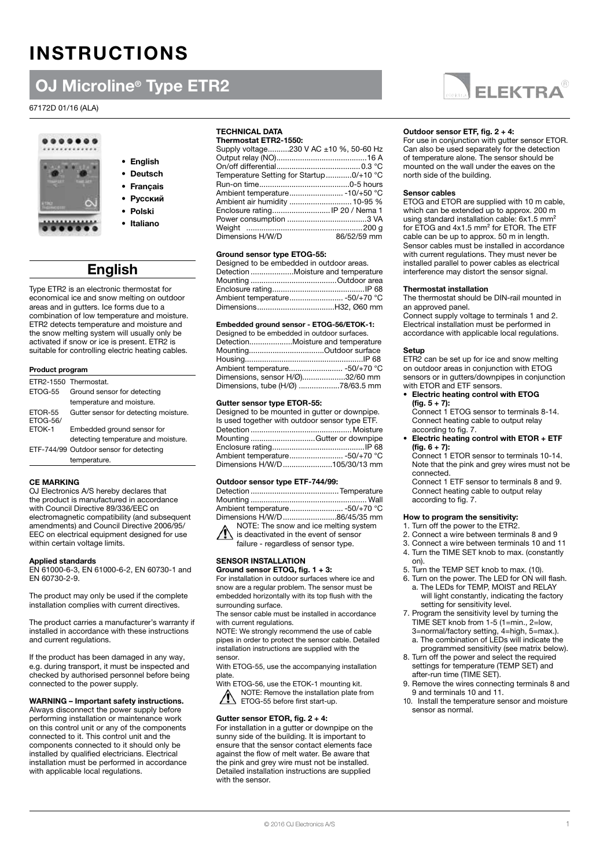# INSTRUCTIONS

# OJ Microline® Type ETR2

### 67172D 01/16 (ALA)



### • English • Deutsch

- Français
- Русский
- 
- Polski
- Italiano

# **English**

Type ETR2 is an electronic thermostat for economical ice and snow melting on outdoor areas and in gutters. Ice forms due to a combination of low temperature and moisture. ETR2 detects temperature and moisture and the snow melting system will usually only be activated if snow or ice is present. ETR2 is suitable for controlling electric heating cables.

#### Product program

|                            | FTR2-1550 Thermostat                    |  |
|----------------------------|-----------------------------------------|--|
| <b>FTOG-55</b>             | Ground sensor for detecting             |  |
|                            | temperature and moisture.               |  |
| ETOR-55<br><b>ETOG-56/</b> | Gutter sensor for detecting moisture.   |  |
| ETOK-1                     | Embedded ground sensor for              |  |
|                            | detecting temperature and moisture.     |  |
|                            | ETF-744/99 Outdoor sensor for detecting |  |
|                            | temperature.                            |  |

#### CE MARKING

OJ Electronics A/S hereby declares that the product is manufactured in accordance with Council Directive 89/336/EEC on electromagnetic compatibility (and subsequent amendments) and Council Directive 2006/95/ EEC on electrical equipment designed for use within certain voltage limits.

#### Applied standards

EN 61000-6-3, EN 61000-6-2, EN 60730-1 and EN 60730-2-9.

The product may only be used if the complete installation complies with current directives.

The product carries a manufacturer's warranty if installed in accordance with these instructions and current regulations.

If the product has been damaged in any way, e.g. during transport, it must be inspected and checked by authorised personnel before being connected to the power supply.

#### WARNING – Important safety instructions.

Always disconnect the power supply before performing installation or maintenance work on this control unit or any of the components connected to it. This control unit and the components connected to it should only be installed by qualified electricians. Electrical installation must be performed in accordance with applicable local regulations.

#### TECHNICAL DATA

| Thermostat ETR2-1550:                   |             |
|-----------------------------------------|-------------|
| Supply voltage230 V AC ±10 %, 50-60 Hz  |             |
|                                         |             |
|                                         |             |
| Temperature Setting for Startup0/+10 °C |             |
|                                         |             |
|                                         |             |
|                                         |             |
| Enclosure rating IP 20 / Nema 1         |             |
|                                         |             |
|                                         |             |
| Dimensions H/W/D                        | 86/52/59 mm |
|                                         |             |

#### Ground sensor type ETOG-55:

| Designed to be embedded in outdoor areas. |                                    |
|-------------------------------------------|------------------------------------|
|                                           | Detection Moisture and temperature |
|                                           |                                    |
|                                           |                                    |
|                                           | Ambient temperature -50/+70 °C     |
|                                           |                                    |

#### Embedded ground sensor - ETOG-56/ETOK-1:

| Designed to be embedded in outdoor surfaces. |
|----------------------------------------------|
| DetectionMoisture and temperature            |
| MountingOutdoor surface                      |
|                                              |
| Ambient temperature -50/+70 °C               |
| Dimensions, sensor H/Ø)32/60 mm              |
| Dimensions, tube (H/Ø) 78/63.5 mm            |

#### Gutter sensor type ETOR-55:

| Designed to be mounted in gutter or downpipe.  |
|------------------------------------------------|
| Is used together with outdoor sensor type ETF. |
|                                                |
| Mounting Gutter or downpipe                    |
|                                                |
| Ambient temperature -50/+70 °C                 |
| Dimensions H/W/D105/30/13 mm                   |
|                                                |

#### Outdoor sensor type ETF-744/99:

| Ambient temperature -50/+70 °C                                                                                                                                                                                                 |  |
|--------------------------------------------------------------------------------------------------------------------------------------------------------------------------------------------------------------------------------|--|
| Dimensions H/W/D 86/45/35 mm                                                                                                                                                                                                   |  |
| NOTE: The snow and ice melting system                                                                                                                                                                                          |  |
| NOTE: The snow and ice melting sys<br>is deactivated in the event of sensor                                                                                                                                                    |  |
| affect the contract of the contract of the contract of the contract of the contract of the contract of the contract of the contract of the contract of the contract of the contract of the contract of the contract of the con |  |

failure - regardless of sensor type.

### SENSOR INSTALLATION

Ground sensor ETOG, fig. 1 + 3: For installation in outdoor surfaces where ice and snow are a regular problem. The sensor must be embedded horizontally with its top flush with the surrounding surface.

The sensor cable must be installed in accordance with current regulations.

NOTE: We strongly recommend the use of cable pipes in order to protect the sensor cable. Detailed installation instructions are supplied with the sensor.

With ETOG-55, use the accompanying installation plate.

With ETOG-56, use the ETOK-1 mounting kit.

NOTE: Remove the installation plate from ETOG-55 before first start-up.

#### Gutter sensor ETOR, fig. 2 + 4:

For installation in a gutter or downpipe on the sunny side of the building. It is important to ensure that the sensor contact elements face against the flow of melt water. Be aware that the pink and grey wire must not be installed. Detailed installation instructions are supplied with the sensor.



#### Outdoor sensor ETF, fig. 2 + 4:

For use in conjunction with gutter sensor ETOR. Can also be used separately for the detection of temperature alone. The sensor should be mounted on the wall under the eaves on the north side of the building.

#### Sensor cables

ETOG and ETOR are supplied with 10 m cable, which can be extended up to approx. 200 m using standard installation cable: 6x1.5 mm<sup>2</sup> for ETOG and 4x1.5 mm² for ETOR. The ETF cable can be up to approx. 50 m in length. Sensor cables must be installed in accordance with current regulations. They must never be installed parallel to power cables as electrical interference may distort the sensor signal.

#### Thermostat installation

The thermostat should be DIN-rail mounted in an approved panel. Connect supply voltage to terminals 1 and 2.

Electrical installation must be performed in accordance with applicable local regulations.

#### Setup

ETR2 can be set up for ice and snow melting on outdoor areas in conjunction with ETOG sensors or in gutters/downpipes in conjunction with ETOR and ETF sensors.

#### • Electric heating control with ETOG  $(fig. 5 + 7)$ :

Connect 1 ETOG sensor to terminals 8-14. Connect heating cable to output relay according to fig. 7.

Electric heating control with ETOR  $+$  ETF  $(fig. 6 + 7):$ 

Connect 1 ETOR sensor to terminals 10-14. Note that the pink and grey wires must not be connected.

Connect 1 ETF sensor to terminals 8 and 9. Connect heating cable to output relay according to fig. 7.

#### How to program the sensitivity:

- 1. Turn off the power to the ETR2.
- 2. Connect a wire between terminals 8 and 9
- 3. Connect a wire between terminals 10 and 11 4. Turn the TIME SET knob to max. (constantly
- on).
- 5. Turn the TEMP SET knob to max. (10).
- 6. Turn on the power. The LED for ON will flash. a. The LEDs for TEMP, MOIST and RELAY will light constantly, indicating the factory setting for sensitivity level.
- 7. Program the sensitivity level by turning the TIME SET knob from 1-5 (1=min., 2=low, 3=normal/factory setting, 4=high, 5=max.).
	- a. The combination of LEDs will indicate the programmed sensitivity (see matrix below).
- 8. Turn off the power and select the required settings for temperature (TEMP SET) and after-run time (TIME SET).
- 9. Remove the wires connecting terminals 8 and 9 and terminals 10 and 11.
- 10. Install the temperature sensor and moisture sensor as normal.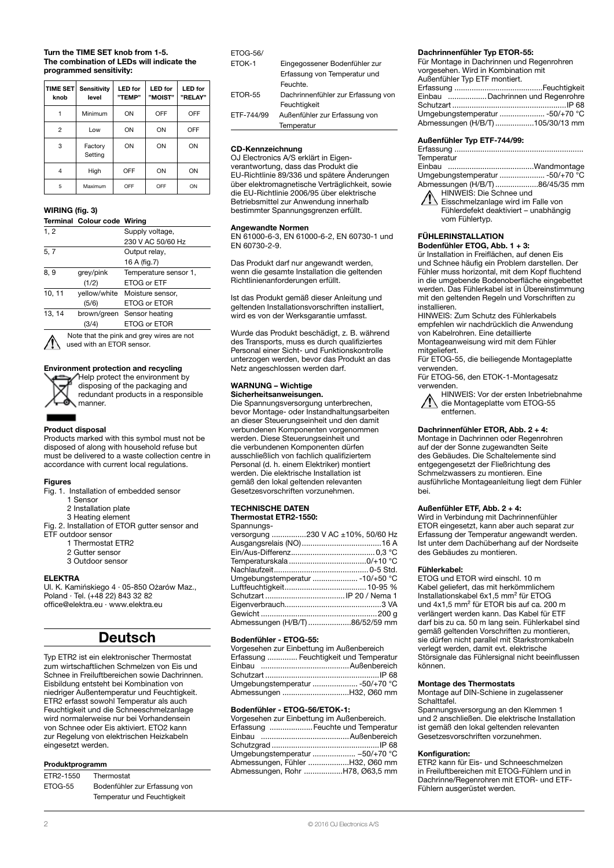#### Turn the TIME SET knob from 1-5. The combination of LEDs will indicate the programmed sensitivity:

| <b>TIME SET</b><br>knob | <b>Sensitivity</b><br>level | <b>LED</b> for<br>"TEMP" | <b>LED</b> for<br>"MOIST" | <b>LED</b> for<br>"RELAY" |
|-------------------------|-----------------------------|--------------------------|---------------------------|---------------------------|
|                         | Minimum                     | ON                       | OFF                       | OFF                       |
| $\overline{2}$          | Low                         | ON                       | ON                        | OFF                       |
| 3                       | Factory<br>Setting          | ON                       | ON                        | ON                        |
| 4                       | High                        | OFF                      | ON                        | ON                        |
| 5                       | Maximum                     | OFF                      | OFF                       | ON                        |

#### WIRING (fig. 3)

#### Terminal Colour code Wiring

| 1, 2   |           | Supply voltage,               |
|--------|-----------|-------------------------------|
|        |           | 230 V AC 50/60 Hz             |
| 5, 7   |           | Output relay,                 |
|        |           | 16 A (fig.7)                  |
| 8, 9   | grey/pink | Temperature sensor 1,         |
|        | (1/2)     | ETOG or ETF                   |
| 10, 11 |           | yellow/white Moisture sensor, |
|        | (5/6)     | ETOG or ETOR                  |
| 13, 14 |           | brown/green Sensor heating    |
|        |           | <b>ETOG or ETOR</b>           |
|        |           |                               |

Note that the pink and grey wires are not used with an ETOR sensor.



Help protect the environment by disposing of the packaging and redundant products in a responsible manner.

#### Product disposal

Products marked with this symbol must not be disposed of along with household refuse but must be delivered to a waste collection centre in accordance with current local regulations.

#### **Figures**

- Fig. 1. Installation of embedded sensor
	- 1 Sensor
	- 2 Installation plate
- 3 Heating element Fig. 2. Installation of ETOR gutter sensor and
- ETF outdoor sensor
	- 1 Thermostat ETR2
	- 2 Gutter sensor
	- 3 Outdoor sensor

#### ELEKTRA

Ul. K. Kamińskiego 4 · 05-850 Ożarów Maz., Poland · Tel. (+48 22) 843 32 82 office@elektra.eu · www.elektra.eu

### Deutsch

Typ ETR2 ist ein elektronischer Thermostat zum wirtschaftlichen Schmelzen von Eis und Schnee in Freiluftbereichen sowie Dachrinnen. Eisbildung entsteht bei Kombination von niedriger Außentemperatur und Feuchtigkeit. ETR2 erfasst sowohl Temperatur als auch Feuchtigkeit und die Schneeschmelzanlage wird normalerweise nur bei Vorhandensein von Schnee oder Eis aktiviert. ETO2 kann zur Regelung von elektrischen Heizkabeln eingesetzt werden.

#### Produktprogramm

| ETR2-1550 | Thermostat                    |
|-----------|-------------------------------|
| ETOG-55   | Bodenfühler zur Erfassung von |
|           | Temperatur und Feuchtigkeit   |

#### ETOG-56/

| ETOK-1     | Eingegossener Bodenfühler zur      |
|------------|------------------------------------|
|            | Erfassung von Temperatur und       |
|            | Feuchte.                           |
| ETOR-55    | Dachrinnenfühler zur Erfassung von |
|            | Feuchtigkeit                       |
| ETF-744/99 | Außenfühler zur Erfassung von      |
|            | Temperatur                         |

#### CD-Kennzeichnung

OJ Electronics A/S erklärt in Eigenverantwortung, dass das Produkt die EU-Richtlinie 89/336 und spätere Änderungen über elektromagnetische Verträglichkeit, sowie die EU-Richtlinie 2006/95 über elektrische Betriebsmittel zur Anwendung innerhalb bestimmter Spannungsgrenzen erfüllt.

#### Angewandte Normen

EN 61000-6-3, EN 61000-6-2, EN 60730-1 und EN 60730-2-9.

Das Produkt darf nur angewandt werden, wenn die gesamte Installation die geltenden Richtlinienanforderungen erfüllt.

Ist das Produkt gemäß dieser Anleitung und geltenden Installationsvorschriften installiert, wird es von der Werksgarantie umfasst.

Wurde das Produkt beschädigt, z. B. während des Transports, muss es durch qualifiziertes Personal einer Sicht- und Funktionskontrolle unterzogen werden, bevor das Produkt an das Netz angeschlossen werden darf.

### WARNUNG – Wichtige

### Sicherheitsanweisungen.

Die Spannungsversorgung unterbrechen, bevor Montage- oder Instandhaltungsarbeiten an dieser Steuerungseinheit und den damit verbundenen Komponenten vorgenommen werden. Diese Steuerungseinheit und die verbundenen Komponenten dürfen ausschließlich von fachlich qualifiziertem Personal (d. h. einem Elektriker) montiert werden. Die elektrische Installation ist gemäß den lokal geltenden relevanten Gesetzesvorschriften vorzunehmen.

### TECHNISCHE DATEN

| Thermostat ETR2-1550: |  |
|-----------------------|--|
| $C_{nonminima}$       |  |

| -JUANNUNO |                                    |
|-----------|------------------------------------|
|           | versorgung 230 V AC ±10%, 50/60 Hz |
|           |                                    |
|           |                                    |
|           |                                    |
|           |                                    |
|           |                                    |
|           |                                    |
|           |                                    |
|           |                                    |
|           |                                    |
|           | Abmessungen (H/B/T) 86/52/59 mm    |
|           |                                    |

#### Bodenfühler - ETOG-55:

| Vorgesehen zur Einbettung im Außenbereich |
|-------------------------------------------|
| Erfassung  Feuchtigkeit und Temperatur    |
|                                           |
|                                           |
|                                           |
|                                           |

#### Bodenfühler - ETOG-56/ETOK-1:

| Vorgesehen zur Einbettung im Außenbereich. |
|--------------------------------------------|
| Erfassung  Feuchte und Temperatur          |
|                                            |
|                                            |
| Umgebungstemperatur  -50/+70 °C            |
| Abmessungen, Fühler H32, Ø60 mm            |
| Abmessungen, Rohr H78, Ø63,5 mm            |

#### Dachrinnenfühler Typ ETOR-55:

Für Montage in Dachrinnen und Regenrohren vorgesehen. Wird in Kombination mit Außenfühler Typ ETF montiert.

| Einbau Dachrinnen und Regenrohre |  |
|----------------------------------|--|
|                                  |  |
| Umgebungstemperatur  -50/+70 °C  |  |
| Abmessungen (H/B/T) 105/30/13 mm |  |

#### Außenfühler Typ ETF-744/99:

| Temperatur                      |  |
|---------------------------------|--|
|                                 |  |
| Umgebungstemperatur  -50/+70 °C |  |
| Abmessungen (H/B/T)86/45/35 mm  |  |
| HINWEIS: Die Schnee und         |  |

Eisschmelzanlage wird im Falle von Fühlerdefekt deaktiviert – unabhängig vom Fühlertyp.

### FÜHLERINSTALLATION

Bodenfühler ETOG, Abb. 1 + 3: ür Installation in Freiflächen, auf denen Eis und Schnee häufig ein Problem darstellen. Der Fühler muss horizontal, mit dem Kopf fluchtend in die umgebende Bodenoberfläche eingebettet werden. Das Fühlerkabel ist in Übereinstimmung mit den geltenden Regeln und Vorschriften zu installieren.

HINWEIS: Zum Schutz des Fühlerkabels empfehlen wir nachdrücklich die Anwendung von Kabelrohren. Eine detaillierte Montageanweisung wird mit dem Fühler mitgeliefert.

Für ETOG-55, die beiliegende Montageplatte verwenden.

Für ETOG-56, den ETOK-1-Montagesatz verwenden

HINWEIS: Vor der ersten Inbetriebnahme die Montageplatte vom ETOG-55 entfernen.

#### Dachrinnenfühler ETOR, Abb. 2 + 4:

Montage in Dachrinnen oder Regenrohren auf der der Sonne zugewandten Seite des Gebäudes. Die Schaltelemente sind entgegengesetzt der Fließrichtung des Schmelzwassers zu montieren. Eine ausführliche Montageanleitung liegt dem Fühler bei.

#### Außenfühler ETF, Abb. 2 + 4:

Wird in Verbindung mit Dachrinnenfühler ETOR eingesetzt, kann aber auch separat zur Erfassung der Temperatur angewandt werden. Ist unter dem Dachüberhang auf der Nordseite des Gebäudes zu montieren.

#### Fühlerkabel:

ETOG und ETOR wird einschl. 10 m Kabel geliefert, das mit herkömmlichem Installationskabel 6x1,5 mm² für ETOG und 4x1,5 mm² für ETOR bis auf ca. 200 m verlängert werden kann. Das Kabel für ETF darf bis zu ca. 50 m lang sein. Fühlerkabel sind gemäß geltenden Vorschriften zu montieren, sie dürfen nicht parallel mit Starkstromkabeln verlegt werden, damit evt. elektrische Störsignale das Fühlersignal nicht beeinflussen können.

#### Montage des Thermostats

Montage auf DIN-Schiene in zugelassener **Schalttafel** 

Spannungsversorgung an den Klemmen 1 und 2 anschließen. Die elektrische Installation ist gemäß den lokal geltenden relevanten Gesetzesvorschriften vorzunehmen.

#### Konfiguration:

ETR2 kann für Eis- und Schneeschmelzen in Freiluftbereichen mit ETOG-Fühlern und in Dachrinne/Regenrohren mit ETOR- und ETF-Fühlern ausgerüstet werden.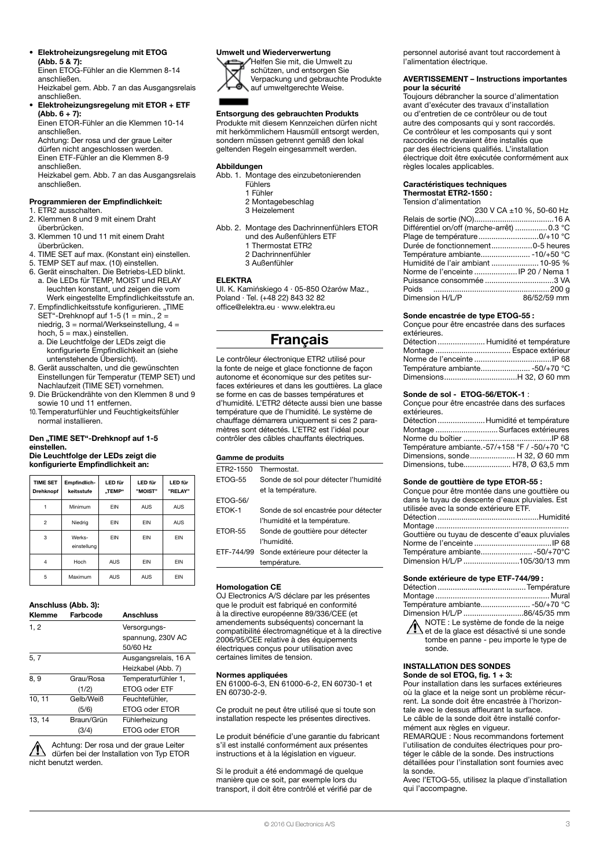#### • Elektroheizungsregelung mit ETOG (Abb. 5 & 7):

Einen ETOG-Fühler an die Klemmen 8-14 anschließen. Heizkabel gem. Abb. 7 an das Ausgangsrelais

#### anschließen. • Elektroheizungsregelung mit ETOR + ETF  $(Abb. 6 + 7)$ :

Einen ETOR-Fühler an die Klemmen 10-14 anschließen. Achtung: Der rosa und der graue Leiter

dürfen nicht angeschlossen werden. Einen ETF-Fühler an die Klemmen 8-9 anschließen.

Heizkabel gem. Abb. 7 an das Ausgangsrelais anschließen.

#### Programmieren der Empfindlichkeit:

- 1. ETR2 ausschalten.
- 2. Klemmen 8 und 9 mit einem Draht überbrücken.
- 3. Klemmen 10 und 11 mit einem Draht überbrücken.
- 4. TIME SET auf max. (Konstant ein) einstellen.
- 5. TEMP SET auf max. (10) einstellen.
- 6. Gerät einschalten. Die Betriebs-LED blinkt. a. Die LEDs für TEMP, MOIST und RELAY leuchten konstant, und zeigen die vom Werk eingestellte Empfindlichkeitsstufe an.
- 7. Empfindlichkeitsstufe konfigurieren. "TIME SET"-Drehknopf auf 1-5 (1 = min.,  $2 =$  $n = 3$  = normal/Werkseinstellung,  $4 =$ hoch,  $5 = max$ .) einstellen.
- a. Die Leuchtfolge der LEDs zeigt die konfigurierte Empfindlichkeit an (siehe untenstehende Übersicht).
- 8. Gerät ausschalten, und die gewünschten Einstellungen für Temperatur (TEMP SET) und Nachlaufzeit (TIME SET) vornehmen.
- 9. Die Brückendrähte von den Klemmen 8 und 9 sowie 10 und 11 entfernen.
- 10. Temperaturfühler und Feuchtigkeitsfühler normal installieren.

#### Den "TIME SET"-Drehknopf auf 1-5 einstellen. Die Leuchtfolge der LEDs zeigt die konfigurierte Empfindlichkeit an:

| $\sim$ , survey to manufacture that $\sim$ |                            |                   |                    |                           |
|--------------------------------------------|----------------------------|-------------------|--------------------|---------------------------|
| <b>TIME SET</b><br><b>Drehknopf</b>        | Empfindlich-<br>keitsstufe | LED für<br>"TEMP" | LED für<br>"MOIST" | <b>LED für</b><br>"RELAY" |
|                                            | Minimum                    | <b>FIN</b>        | AUS                | <b>AUS</b>                |
| $\overline{c}$                             | Niedrig                    | EIN               | EIN                | <b>AUS</b>                |
| 3                                          | Werks-<br>einstellung      | <b>FIN</b>        | <b>FIN</b>         | <b>FIN</b>                |
|                                            |                            |                   |                    |                           |

4 | Hoch | AUS | EIN | EIN 5 Maximum AUS AUS EIN

### Anschluss (Abb. 3):

| <b>Klemme</b> | Farbcode   | <b>Anschluss</b>     |
|---------------|------------|----------------------|
| 1, 2          |            | Versorgungs-         |
|               |            | spannung, 230V AC    |
|               |            | 50/60 Hz             |
| 5, 7          |            | Ausgangsrelais, 16 A |
|               |            | Heizkabel (Abb. 7)   |
| 8, 9          | Grau/Rosa  | Temperaturfühler 1,  |
|               | (1/2)      | ETOG oder ETF        |
| 10, 11        | Gelb/Weiß  | Feuchtefühler.       |
|               | (5/6)      | ETOG oder ETOR       |
| 13, 14        | Braun/Grün | Fühlerheizung        |
|               | (3/4)      | ETOG oder ETOR       |

Achtung: Der rosa und der graue Leiter dürfen bei der Installation von Typ ETOR nicht benutzt werden.

### Umwelt und Wiederverwertung



Helfen Sie mit, die Umwelt zu schützen, und entsorgen Sie Verpackung und gebrauchte Produkte auf umweltgerechte Weise.

### Entsorgung des gebrauchten Produkts

Produkte mit diesem Kennzeichen dürfen nicht mit herkömmlichem Hausmüll entsorgt werden, sondern müssen getrennt gemäß den lokal geltenden Regeln eingesammelt werden.

#### Abbildungen

- Abb. 1. Montage des einzubetonierenden Fühlers 1 Fühler
	- 2 Montagebeschlag
	- 3 Heizelement
- Abb. 2. Montage des Dachrinnenfühlers ETOR und des Außenfühlers ETF 1 Thermostat ETR2 2 Dachrinnenfühler 3 Außenfühler

#### ELEKTRA

Ul. K. Kamińskiego 4 · 05-850 Ożarów Maz., Poland · Tel. (+48 22) 843 32 82 office@elektra.eu · www.elektra.eu

### **Francais**

Le contrôleur électronique ETR2 utilisé pour la fonte de neige et glace fonctionne de façon autonome et économique sur des petites surfaces extérieures et dans les gouttières. La glace se forme en cas de basses températures et d'humidité. L'ETR2 détecte aussi bien une basse température que de l'humidité. Le système de chauffage démarrera uniquement si ces 2 paramètres sont détectés. L'ETR2 est l'idéal pour contrôler des câbles chauffants électriques.

#### Gamme de produits

| FTR2-1550       | Thermostat                            |
|-----------------|---------------------------------------|
| ETOG-55         | Sonde de sol pour détecter l'humidité |
|                 | et la température.                    |
| <b>ETOG-56/</b> |                                       |
| ETOK-1          | Sonde de sol encastrée pour détecter  |
|                 | l'humidité et la température.         |
| ETOR-55         | Sonde de gouttière pour détecter      |
|                 | l'humidité.                           |
| ETF-744/99      | Sonde extérieure pour détecter la     |
|                 | température.                          |

#### Homologation CE

OJ Electronics A/S déclare par les présentes que le produit est fabriqué en conformité à la directive européenne 89/336/CEE (et amendements subséquents) concernant la compatibilité électromagnétique et à la directive 2006/95/CEE relative à des équipements électriques conçus pour utilisation avec certaines limites de tension.

#### Normes appliquées

EN 61000-6-3, EN 61000-6-2, EN 60730-1 et EN 60730-2-9.

Ce produit ne peut être utilisé que si toute son installation respecte les présentes directives.

Le produit bénéficie d'une garantie du fabricant s'il est installé conformément aux présentes instructions et à la législation en vigueur.

Si le produit a été endommagé de quelque manière que ce soit, par exemple lors du transport, il doit être contrôlé et vérifié par de personnel autorisé avant tout raccordement à l'alimentation électrique.

#### AVERTISSEMENT – Instructions importantes pour la sécurité

Toujours débrancher la source d'alimentation avant d'exécuter des travaux d'installation ou d'entretien de ce contrôleur ou de tout autre des composants qui y sont raccordés. Ce contrôleur et les composants qui y sont raccordés ne devraient être installés que par des électriciens qualifiés. L'installation électrique doit être exécutée conformément aux règles locales applicables.

#### Caractéristiques techniques Thermostat ETR2-1550 :

Tension d'alimentation

|                                            | 230 V CA ±10 %, 50-60 Hz |
|--------------------------------------------|--------------------------|
|                                            |                          |
| Différentiel on/off (marche-arrêt)  0.3 °C |                          |
|                                            |                          |
| Durée de fonctionnement0-5 heures          |                          |
|                                            |                          |
| Humidité de l'air ambiant  10-95 %         |                          |
| Norme de l'enceinte  IP 20 / Nema 1        |                          |
| Puissance consommée 3 VA                   |                          |
|                                            |                          |
| Dimension H/L/P                            | 86/52/59 mm              |

#### Sonde encastrée de type ETOG-55 :

|              | Conçue pour être encastrée dans des surfaces |
|--------------|----------------------------------------------|
| extérieures. |                                              |
|              | Détection  Humidité et température           |
|              |                                              |
|              |                                              |
|              |                                              |
|              |                                              |

#### Sonde de sol - ETOG-56/ETOK-1 :

Conçue pour être encastrée dans des surfaces extérieures.

| Montage  Surfaces extérieures                 |
|-----------------------------------------------|
|                                               |
| Température ambiante.-57/+158 °F / -50/+70 °C |
| Dimensions, sonde H 32, Ø 60 mm               |
| Dimensions, tube H78, Ø 63,5 mm               |
|                                               |

#### Sonde de gouttière de type ETOR-55 :

Conçue pour être montée dans une gouttière ou dans le tuyau de descente d'eaux pluviales. Est utilisée avec la sonde extérieure ETF. Détection ...............................................Humidité Montage ...... Gouttière ou tuyau de descente d'eaux pluviales Norme de l'enceinte ....................................IP 68 Température ambiante........................ -50/+70°C Dimension H/L/P ..........................105/30/13 mm

#### Sonde extérieure de type ETF-744/99 :

| Température ambiante -50/+70 °C                    |  |
|----------------------------------------------------|--|
| Dimension H/L/P 86/45/35 mm                        |  |
| $\bigwedge$ NOTE : Le système de fonde de la neige |  |

 $\angle$  et de la glace est désactivé si une sonde tombe en panne - peu importe le type de sonde.

### INSTALLATION DES SONDES

Sonde de sol ETOG, fig. 1 + 3: Pour installation dans les surfaces extérieures où la glace et la neige sont un problème récurrent. La sonde doit être encastrée à l'horizontale avec le dessus affleurant la surface. Le câble de la sonde doit être installé conformément aux règles en vigueur.

REMARQUE : Nous recommandons fortement l'utilisation de conduites électriques pour protéger le câble de la sonde. Des instructions détaillées pour l'installation sont fournies avec la sonde.

Avec l'ETOG-55, utilisez la plaque d'installation qui l'accompagne.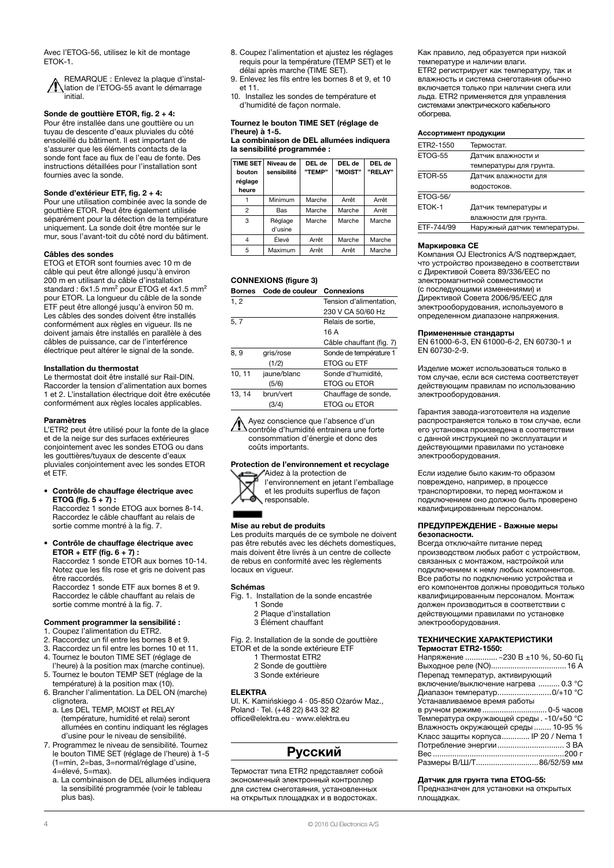Avec l'ETOG-56, utilisez le kit de montage ETOK-1.

REMARQUE : Enlevez la plaque d'installation de l'ETOG-55 avant le démarrage initial.

### Sonde de gouttière ETOR, fig. 2 + 4:

Pour être installée dans une gouttière ou un tuyau de descente d'eaux pluviales du côté ensoleillé du bâtiment. Il est important de s'assurer que les éléments contacts de la sonde font face au flux de l'eau de fonte. Des instructions détaillées pour l'installation sont fournies avec la sonde.

#### Sonde d'extérieur ETF, fig. 2 + 4:

Pour une utilisation combinée avec la sonde de gouttière ETOR. Peut être également utilisée séparément pour la détection de la température uniquement. La sonde doit être montée sur le mur, sous l'avant-toit du côté nord du bâtiment.

#### Câbles des sondes

ETOG et ETOR sont fournies avec 10 m de câble qui peut être allongé jusqu'à environ 200 m en utilisant du câble d'installation standard : 6x1.5 mm<sup>2</sup> pour ETOG et 4x1.5 mm<sup>2</sup> pour ETOR. La longueur du câble de la sonde ETF peut être allongé jusqu'à environ 50 m. Les câbles des sondes doivent être installés conformément aux règles en vigueur. Ils ne doivent jamais être installés en parallèle à des câbles de puissance, car de l'interférence électrique peut altérer le signal de la sonde.

#### Installation du thermostat

Le thermostat doit être installé sur Rail-DIN. Raccorder la tension d'alimentation aux bornes 1 et 2. L'installation électrique doit être exécutée conformément aux règles locales applicables.

#### Paramètres

L'ETR2 peut être utilisé pour la fonte de la glace et de la neige sur des surfaces extérieures conjointement avec les sondes ETOG ou dans les gouttières/tuyaux de descente d'eaux pluviales conjointement avec les sondes ETOR et ETF.

• Contrôle de chauffage électrique avec **ETOG** (fig.  $5 + 7$ ) : Raccordez 1 sonde ETOG aux bornes 8-14.

Raccordez le câble chauffant au relais de sortie comme montré à la fig. 7.

• Contrôle de chauffage électrique avec ETOR + ETF (fig.  $6 + 7$ ) : Raccordez 1 sonde ETOR aux bornes 10-14. Notez que les fils rose et gris ne doivent pas être raccordés.

Raccordez 1 sonde ETF aux bornes 8 et 9. Raccordez le câble chauffant au relais de sortie comme montré à la fig. 7.

#### Comment programmer la sensibilité :

- 1. Coupez l'alimentation du ETR2.
- 2. Raccordez un fil entre les bornes 8 et 9.
- 3. Raccordez un fil entre les bornes 10 et 11. 4. Tournez le bouton TIME SET (réglage de
- l'heure) à la position max (marche continue).
- 5. Tournez le bouton TEMP SET (réglage de la température) à la position max (10).
- 6. Brancher l'alimentation. La DEL ON (marche) clignotera.
	- a. Les DEL TEMP, MOIST et RELAY (température, humidité et relai) seront allumées en continu indiquant les réglages d'usine pour le niveau de sensibilité.
- 7. Programmez le niveau de sensibilité. Tournez le bouton TIME SET (réglage de l'heure) à 1-5 (1=min, 2=bas, 3=normal/réglage d'usine,  $4 =$ élevé, 5=max).
	- a. La combinaison de DEL allumées indiquera la sensibilité programmée (voir le tableau plus bas).
- 8. Coupez l'alimentation et ajustez les réglages requis pour la température (TEMP SET) et le délai après marche (TIME SET).
- 9. Enlevez les fils entre les bornes 8 et 9, et 10 et 11.
- 10. Installez les sondes de température et d'humidité de façon normale.

#### Tournez le bouton TIME SET (réglage de l'heure) à 1-5.

La combinaison de DEL allumées indiquera la sensibilité programmée :

| <b>TIME SET</b><br>bouton<br>réglage<br>heure | Niveau de<br>sensibilité | DEL de<br>"TEMP" | DEL de<br>"MOIST" | DEL de<br>"RELAY" |
|-----------------------------------------------|--------------------------|------------------|-------------------|-------------------|
|                                               | Minimum                  | Marche           | Arrêt             | Arrêt             |
| $\overline{2}$                                | Bas                      | Marche           | Marche            | Arrêt             |
| 3                                             | Réglage<br>d'usine       | Marche           | Marche            | Marche            |
| $\overline{4}$                                | Élevé                    | Arrêt            | Marche            | Marche            |
| 5                                             | Maximum                  | Arrêt            | Arrêt             | Marche            |

### CONNEXIONS (figure 3)

| <b>Bornes</b> | Code de couleur | Connexions               |
|---------------|-----------------|--------------------------|
| 1, 2          |                 | Tension d'alimentation.  |
|               |                 | 230 V CA 50/60 Hz        |
| 5, 7          |                 | Relais de sortie.        |
|               |                 | 16 A                     |
|               |                 | Câble chauffant (fig. 7) |
| 8, 9          | gris/rose       | Sonde de température 1   |
|               | (1/2)           | ETOG ou ETF              |
| 10, 11        | jaune/blanc     | Sonde d'humidité,        |
|               | (5/6)           | ETOG ou ETOR             |
| 13.14         | brun/vert       | Chauffage de sonde,      |
|               | (3/4)           | ETOG ou ETOR             |
|               |                 |                          |

Ayez conscience que l'absence d'un contrôle d'humidité entrainera une forte consommation d'énergie et donc des coûts importants.

#### Protection de l'environnement et recyclage



Aidez à la protection de l'environnement en jetant l'emballage et les produits superflus de façon responsable.

#### Mise au rebut de produits

Les produits marqués de ce symbole ne doivent pas être rebutés avec les déchets domestiques, mais doivent être livrés à un centre de collecte de rebus en conformité avec les règlements locaux en vigueur.

#### Schémas

- Fig. 1. Installation de la sonde encastrée 1 Sonde
	- 2 Plaque d'installation
	- 3 Élément chauffant
- Fig. 2. Installation de la sonde de gouttière
- ETOR et de la sonde extérieure ETF
	- 1 Thermostat ETR2
	- 2 Sonde de gouttière
	- 3 Sonde extérieure

#### ELEKTRA

Ul. K. Kamińskiego 4 · 05-850 Ożarów Maz., Poland · Tel. (+48 22) 843 32 82 office@elektra.eu · www.elektra.eu

### Русский

Термостат типа ЕТR2 представляет собой экономичный электронный контроллер для систем снеготаяния, установленных на открытых площадках и в водостоках.

Как правило, лед образуется при низкой температуре и наличии влаги. ЕТR2 регистрирует как температуру, так и влажность и система снеготаяния обычно включается только при наличии снега или льда. ЕТR2 применяется для управления системами электрического кабельного обогрева.

#### Ассортимент продукции

| ETR2-1550       | Термостат.                   |
|-----------------|------------------------------|
| ETOG-55         | Датчик влажности и           |
|                 | температуры для грунта.      |
| ETOR-55         | Датчик влажности для         |
|                 | водостоков.                  |
| <b>ETOG-56/</b> |                              |
| ETOK-1          | Датчик температуры и         |
|                 | влажности для грунта.        |
| ETF-744/99      | Наружный датчик температуры. |

#### Маркировка CE

Компания OJ Electronics A/S подтверждает, что устройство произведено в соответствии с Директивой Совета 89/336/EEC по электромагнитной совместимости (с последующими изменениями) и Директивой Совета 2006/95/EEC для электрооборудования, используемого в определенном диапазоне напряжения.

#### Примененные стандарты

EN 61000-6-3, EN 61000-6-2, EN 60730-1 и EN 60730-2-9.

Изделие может использоваться только в том случае, если вся система соответствует действующим правилам по использованию электрооборудования.

Гарантия завода-изготовителя на изделие распространяется только в том случае, если его установка произведена в соответствии с данной инструкцией по эксплуатации и действующими правилами по установке электрооборудования.

Если изделие было каким-то образом повреждено, например, в процессе транспортировки, то перед монтажом и подключением оно должно быть проверено квалифицированным персоналом.

#### ПРЕДУПРЕЖДЕНИЕ - Важные меры безопасности.

Всегда отключайте питание перед производством любых работ с устройством, связанных с монтажом, настройкой или подключением к нему любых компонентов. Все работы по подключению устройства и его компонентов должны проводиться только квалифицированным персоналом. Монтаж должен производиться в соответствии с действующими правилами по установке электрооборудования.

## ТЕХНИЧЕСКИЕ ХАРАКТЕРИСТИКИ

#### Датчик для грунта типа ETOG-55:

Предназначен для установки на открытых площадках.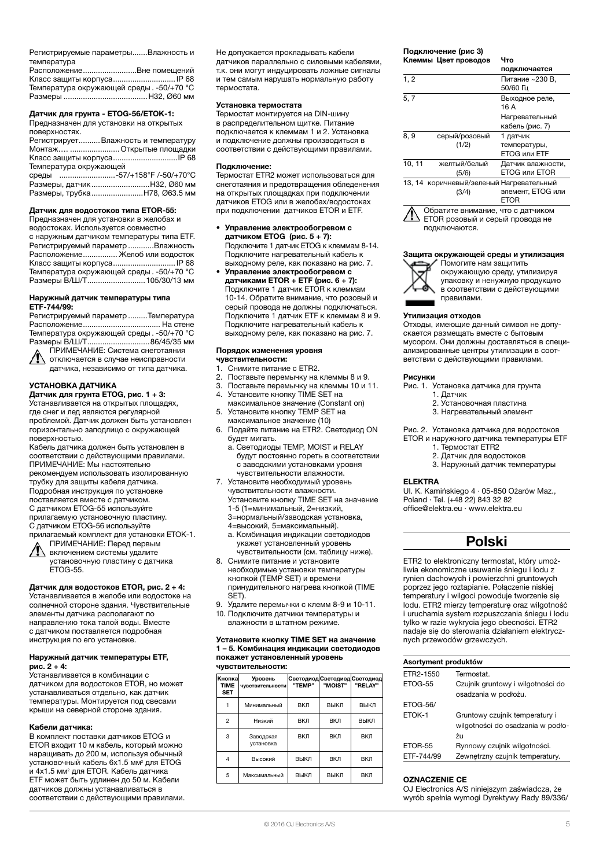Регистрируемые параметры.......Влажность и температура

| РасположениеВне помещений                |  |
|------------------------------------------|--|
| Класс защиты корпуса IР 68               |  |
| Температура окружающей среды. -50/+70 °С |  |
|                                          |  |

### Датчик для грунта - ETOG-56/ETOK-1:

Предназначен для установки на открытых поверхностях.

| Регистрирует Влажность и температуру |  |
|--------------------------------------|--|
| Монтаж  Открытые площадки            |  |
|                                      |  |
| Температура окружающей               |  |
| среды -57/+158°F /-50/+70°С          |  |
|                                      |  |
| Размеры, трубка Н78, Ø63.5 мм        |  |

#### Датчик для водостоков типа ETOR-55:

Предназначен для установки в желобах и водостоках. Используется совместно с наружным датчиком температуры типа ETF. Регистрируемый параметр ............Влажность Расположение................ Желоб или водосток Класс защиты корпуса.............................IP 68 Температура окружающей среды . -50/+70 °C Размеры В/Ш/Т...........................105/30/13 мм

#### Наружный датчик температуры типа ETF-744/99:

Регистрируемый параметр .........Температура Расположение.................................... На стене Температура окружающей среды . -50/+70 °C Размеры В/Ш/Т.............................86/45/35 мм ПРИМЕЧАНИЕ: Система снеготаяния

отключается в случае неисправности датчика, независимо от типа датчика.

### УСТАНОВКА ДАТЧИКА

Датчик для грунта ETOG, рис. 1 + 3: Устанавливается на открытых площадях, где снег и лед являются регулярной

проблемой. Датчик должен быть установлен горизонтально заподлицо с окружающей поверхностью. Кабель датчика должен быть установлен в

соответствии с действующими правилами. ПРИМЕЧАНИЕ: Мы настоятельно рекомендуем использовать изолированную трубку для защиты кабеля датчика. Подробная инструкция по установке поставляется вместе с датчиком. С датчиком ETOG-55 используйте прилагаемую установочную пластину. С датчиком ETOG-56 используйте

прилагаемый комплект для установки ETOK-1. ПРИМЕЧАНИЕ: Перед первым

включением системы удалите установочную пластину с датчика ETOG-55.

#### Датчик для водостоков ETOR, рис. 2 + 4:

Устанавливается в желобе или водостоке на солнечной стороне здания. Чувствительные элементы датчика располагают по направлению тока талой воды. Вместе с датчиком поставляется подробная инструкция по его установке.

#### Наружный датчик температуры ETF, рис. 2 + 4:

Устанавливается в комбинации с датчиком для водостоков ETOR, но может устанавливаться отдельно, как датчик температуры. Монтируется под свесами крыши на северной стороне здания.

#### Кабели датчика:

В комплект поставки датчиков ETOG и ETOR входит 10 м кабель, который можно наращивать до 200 м, используя обычный установочный кабель 6x1.5 мм<sup>2</sup> для ETOG и 4x1.5 мм<sup>2</sup> для ETOR. Кабель датчика ETF может быть удлинен до 50 м. Кабели датчиков должны устанавливаться в соответствии с действующими правилами. Не допускается прокладывать кабели датчиков параллельно с силовыми кабелями, т.к. они могут индуцировать ложные сигналы и тем самым нарушать нормальную работу термостата.

#### Установка термостата

Термостат монтируется на DIN-шину в распределительном щитке. Питание подключается к клеммам 1 и 2. Установка и подключение должны производиться в соответствии с действующими правилами.

#### Подключение:

Термостат ETR2 может использоваться для снеготаяния и предотвращения обледенения на открытых площадках при подключении датчиков ETOG или в желобах/водостоках при подключении датчиков ETOR и ETF.

- Управление электрообогревом с датчиком ETOG (рис. 5 + 7): Подключите 1 датчик ETOG к клеммам 8-14. Подключите нагревательный кабель к выходному реле, как показано на рис. 7.
- Управление электрообогревом с датчиками ETOR + ETF (рис.  $6 + 7$ ): Подключите 1 датчик ETOR к клеммам 10-14. Обратите внимание, что розовый и серый провода не должны подключаться. Подключите 1 датчик ETF к клеммам 8 и 9. Подключите нагревательный кабель к выходному реле, как показано на рис. 7.

### Порядок изменения уровня

чувствительности:

- 1. Снимите питание с ETR2.<br>2. Поставьте перемычку на
- 2. Поставьте перемычку на клеммы 8 и 9.
- 3. Поставьте перемычку на клеммы 10 и 11. 4. Установите кнопку TIME SET на максимальное значение (Constant on)
- 5. Установите кнопку TEMP SET на максимальное значение (10)
- 6. Подайте питание на ETR2. Светодиод ON будет мигать.
	- a. Светодиоды TEMP, MOIST и RELAY будут постоянно гореть в соответствии с заводскими установками уровня чувствительности влажности.
- 7. Установите необходимый уровень чувствительности влажности. Установите кнопку TIME SET на значение 1-5 (1=минимальный, 2=низкий, 3=нормальный/заводская установка,
	- 4=высокий, 5=максимальный).
	- a. Комбинация индикации светодиодов укажет установленный уровень .<br>чувствительности (см. таблицу ниже).
- 8. Снимите питание и установите необходимые установки температуры кнопкой (TEMP SET) и времени принудительного нагрева кнопкой (TIME
- SET). 9. Удалите перемычки с клемм 8-9 и 10-11.
- 10. Подключите датчики температуры и влажности в штатном режиме.

#### Установите кнопку TIME SET на значение 1 – 5. Комбинация индикации светодиодов покажет установленный уровень чувствительности:

| Кнопка<br><b>TIME</b><br><b>SET</b> | Уровень<br><b>ЧУВСТВИТЕЛЬНОСТИ</b> | "TEMP"     | Светодиод Светодиод Светодиод<br>"MOIST" | "RELAY"    |
|-------------------------------------|------------------------------------|------------|------------------------------------------|------------|
|                                     | Минимальный                        | <b>ВКЛ</b> | ВЫКЛ                                     | ВЫКЛ       |
| $\mathfrak{p}$                      | Низкий                             | <b>ВКЛ</b> | <b>ВКЛ</b>                               | ВЫКЛ       |
| 3                                   | Заводская<br>установка             | <b>ВКЛ</b> | <b>ВКЛ</b>                               | BКЛ        |
| $\overline{4}$                      | Высокий                            | ВЫКЛ       | <b>ВКЛ</b>                               | BКЛ        |
| 5                                   | Максимальный                       | ВЫКЛ       | ВЫКЛ                                     | <b>ВКЛ</b> |

### Подключение (pис 3)

|        | Клеммы Цвет проводов                       | Что                                       |
|--------|--------------------------------------------|-------------------------------------------|
|        |                                            | подключается                              |
| 1, 2   |                                            | Питание ~230 В,<br>50/60 Гц               |
| 5, 7   |                                            | Выходное реле,<br>16 A                    |
|        |                                            | Нагревательный<br>кабель (рис. 7)         |
| 8, 9   | серый/розовый<br>(1/2)                     | 1 датчик<br>температуры,<br>ETOG или ETF  |
| 10, 11 | желтый/белый<br>(5/6)                      | Датчик влажности,<br><b>ETOG или ETOR</b> |
| 13, 14 | коричневый/зеленый Нагревательный<br>(3/4) | элемент, ETOG или<br><b>ETOR</b>          |



#### Защита окружающей среды и утилизация Помогите нам защитить



окружающую среду, утилизируя упаковку и ненужную продукцию в соответствии с действующими правилами.

#### Утилизация отходов

Отходы, имеющие данный символ не допускается размещать вместе с бытовым мусором. Они должны доставляться в специализированные центры утилизации в соответствии с действующими правилами.

#### Рисунки

Рис. 1. Установка датчика для грунта

- 1. Датчик 2. Установочная пластина
- 
- 3. Нагревательный элемент

Рис. 2. Установка датчика для водостоков ETOR и наружного датчика температуры ETF

- 1. Термостат ETR2
- 2. Датчик для водостоков 3. Наружный датчик температуры
- 

### ELEKTRA

Ul. K. Kamińskiego 4 · 05-850 Ożarów Maz., Poland · Tel. (+48 22) 843 32 82 office@elektra.eu · www.elektra.eu

# Polski

ETR2 to elektroniczny termostat, który umożliwia ekonomiczne usuwanie śniegu i lodu z rynien dachowych i powierzchni gruntowych poprzez jego roztapianie. Połączenie niskiej temperatury i wilgoci powoduje tworzenie się lodu. ETR2 mierzy temperaturę oraz wilgotność i uruchamia system rozpuszczania śniegu i lodu tylko w razie wykrycia jego obecności. ETR2 nadaje się do sterowania działaniem elektrycznych przewodów grzewczych.

| Asortyment produktów |                                   |  |  |
|----------------------|-----------------------------------|--|--|
| FTR2-1550            | Termostat                         |  |  |
| <b>FTOG-55</b>       | Czujnik gruntowy i wilgotności do |  |  |
|                      | osadzania w podłożu.              |  |  |
| <b>ETOG-56/</b>      |                                   |  |  |
| FTOK-1               | Gruntowy czujnik temperatury i    |  |  |
|                      | wilgotności do osadzania w podło- |  |  |
|                      | żu                                |  |  |
| ETOR-55              | Rynnowy czujnik wilgotności.      |  |  |
| FTF-744/99           | Zewnetrzny czujnik temperatury.   |  |  |
|                      |                                   |  |  |

#### OZNACZENIE CE

OJ Electronics A/S niniejszym zaświadcza, że wyrób spełnia wymogi Dyrektywy Rady 89/336/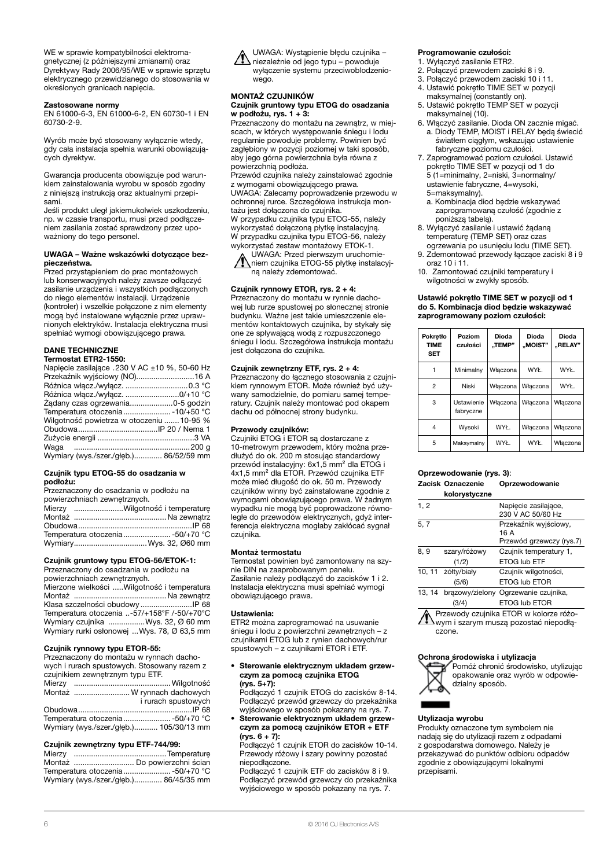WE w sprawie kompatybilności elektromagnetycznej (z późniejszymi zmianami) oraz Dyrektywy Rady 2006/95/WE w sprawie sprzętu elektrycznego przewidzianego do stosowania w określonych granicach napięcia.

#### Zastosowane normy

EN 61000-6-3, EN 61000-6-2, EN 60730-1 i EN 60730-2-9.

Wyrób może być stosowany wyłącznie wtedy, gdy cała instalacja spełnia warunki obowiązujących dyrektyw.

Gwarancja producenta obowiązuje pod warunkiem zainstalowania wyrobu w sposób zgodny z niniejszą instrukcją oraz aktualnymi przepisami.

Jeśli produkt uległ jakiemukolwiek uszkodzeniu, np. w czasie transportu, musi przed podłączeniem zasilania zostać sprawdzony przez upoważniony do tego personel.

#### UWAGA – Ważne wskazówki dotyczące bezpieczeństwa.

Przed przystąpieniem do prac montażowych lub konserwacyjnych należy zawsze odłączyć zasilanie urządzenia i wszystkich podłączonych do niego elementów instalacji. Urządzenie (kontroler) i wszelkie połączone z nim elementy mogą być instalowane wyłącznie przez uprawnionych elektryków. Instalacja elektryczna musi spełniać wymogi obowiązującego prawa.

### DANE TECHNICZNE

### Termostat ETR2-1550:

| Napiecie zasilające .230 V AC ±10 %, 50-60 Hz |  |
|-----------------------------------------------|--|
| Przekaźnik wyjściowy (NO)16 A                 |  |
|                                               |  |
| Różnica włącz./wyłącz. 0/+10 °C               |  |
| Ządany czas ogrzewania0-5 godzin              |  |
| Temperatura otoczenia - 10/+50 °C             |  |
| Wilgotność powietrza w otoczeniu  10-95 %     |  |
|                                               |  |
|                                               |  |
|                                               |  |
| Wymiary (wys./szer./głęb.) 86/52/59 mm        |  |

#### Czujnik typu ETOG-55 do osadzania w podłożu:

Przeznaczony do osadzania w podłożu na

| powierzchniach zewnętrznych. |                                  |  |  |
|------------------------------|----------------------------------|--|--|
|                              | Mierzy Wilgotność i temperaturę  |  |  |
|                              |                                  |  |  |
|                              |                                  |  |  |
|                              | Temperatura otoczenia -50/+70 °C |  |  |
|                              | WymiaryWys. 32, Ø60 mm           |  |  |

### Czujnik gruntowy typu ETOG-56/ETOK-1:

Przeznaczony do osadzania w podłożu na powierzchniach zewnętrznych.

Mierzone wielkości .....Wilgotność i temperatura Montaż ........................................... Na zewnątrz Klasa szczelności obudowy ........................IP 68 Temperatura otoczenia ..-57/+158°F /-50/+70°C Wymiary czujnika .................Wys. 32, Ø 60 mm Wymiary rurki osłonowej ...Wys. 78, Ø 63,5 mm

#### Czujnik rynnowy typu ETOR-55:

Przeznaczony do montażu w rynnach dachowych i rurach spustowych. Stosowany razem z czujnikiem zewnętrznym typu ETF.

|  | Montaż  W rynnach dachowych             |
|--|-----------------------------------------|
|  | i rurach spustowych                     |
|  |                                         |
|  | Temperatura otoczenia -50/+70 °C        |
|  | Wymiary (wys./szer./głęb.) 105/30/13 mm |

#### Czujnik zewnętrzny typu ETF-744/99:

| Montaż  Do powierzchni ścian           |  |
|----------------------------------------|--|
| Temperatura otoczenia -50/+70 °C       |  |
| Wymiary (wys./szer./głęb.) 86/45/35 mm |  |



#### MONTAŻ CZUJNIKÓW

#### Czujnik gruntowy typu ETOG do osadzania w podłożu, rys. 1 + 3:

Przeznaczony do montażu na zewnątrz, w miejscach, w których występowanie śniegu i lodu regularnie powoduje problemy. Powinien być zagłębiony w pozycji poziomej w taki sposób, aby jego górna powierzchnia była równa z powierzchnią podłoża.

Przewód czujnika należy zainstalować zgodnie z wymogami obowiązującego prawa. UWAGA: Zalecamy poprowadzenie przewodu w

ochronnej rurce. Szczegółowa instrukcja montażu jest dołączona do czujnika. W przypadku czujnika typu ETOG-55, należy wykorzystać dołączoną płytkę instalacyjną.

W przypadku czujnika typu ETOG-56, należy wykorzystać zestaw montażowy ETOK-1. UWAGA: Przed pierwszym uruchomie-

niem czujnika ETOG-55 płytkę instalacyjną należy zdemontować.

#### Czujnik rynnowy ETOR, rys. 2 + 4:

Przeznaczony do montażu w rynnie dachowej lub rurze spustowej po słonecznej stronie budynku. Ważne jest takie umieszczenie elementów kontaktowych czujnika, by stykały się one ze spływającą wodą z rozpuszczonego śniegu i lodu. Szczegółowa instrukcja montażu jest dołączona do czujnika.

#### Czujnik zewnętrzny ETF, rys. 2 + 4:

Przeznaczony do łącznego stosowania z czujnikiem rynnowym ETOR. Może również być używany samodzielnie, do pomiaru samej temperatury. Czujnik należy montować pod okapem dachu od północnej strony budynku.

#### Przewody czujników:

Czujniki ETOG i ETOR są dostarczane z 10-metrowym przewodem, który można przedłużyć do ok. 200 m stosując standardowy przewód instalacyjny: 6x1,5 mm² dla ETOG i 4x1,5 mm² dla ETOR. Przewód czujnika ETF może mieć długość do ok. 50 m. Przewody czujników winny być zainstalowane zgodnie z wymogami obowiązującego prawa. W żadnym wypadku nie mogą być poprowadzone równoległe do przewodów elektrycznych, gdyż interferencja elektryczna mogłaby zakłócać sygnał czujnika.

#### Montaż termostatu

Termostat powinien być zamontowany na szynie DIN na zaaprobowanym panelu. Zasilanie należy podłączyć do zacisków 1 i 2. Instalacja elektryczna musi spełniać wymogi obowiązującego prawa.

#### Ustawienia:

ETR2 można zaprogramować na usuwanie śniegu i lodu z powierzchni zewnętrznych – z czujnikami ETOG lub z rynien dachowych/rur spustowych – z czujnikami ETOR i ETF.

• Sterowanie elektrycznym układem grzewczym za pomocą czujnika ETOG (rys. 5+7): Podłączyć 1 czujnik ETOG do zacisków 8-14.

Podłączyć przewód grzewczy do przekaźnika wyjściowego w sposób pokazany na rys. 7. • Sterowanie elektrycznym układem grzew-

### czym za pomocą czujników ETOR + ETF (rys. 6 + 7):

Podłączyć 1 czujnik ETOR do zacisków 10-14. Przewody różowy i szary powinny pozostać niepodłączone.

Podłączyć 1 czujnik ETF do zacisków 8 i 9. Podłączyć przewód grzewczy do przekaźnika wyjściowego w sposób pokazany na rys. 7.

#### Programowanie czułości:

- 1. Wyłączyć zasilanie ETR2.
- 2. Połączyć przewodem zaciski 8 i 9.
- 3. Połączyć przewodem zaciski 10 i 11. 4. Ustawić pokrętło TIME SET w pozycji
- maksymalnej (constantly on). 5. Ustawić pokrętło TEMP SET w pozycji
- maksymalnej (10).
- 6. Włączyć zasilanie. Dioda ON zacznie migać. a. Diody TEMP, MOIST i RELAY będą świecić światłem ciągłym, wskazując ustawienie fabryczne poziomu czułości.
- 7. Zaprogramować poziom czułości. Ustawić pokrętło TIME SET w pozycji od 1 do 5 (1=minimalny, 2=niski, 3=normalny/ ustawienie fabryczne, 4=wysoki, 5=maksymalny).
	- a. Kombinacja diod będzie wskazywać zaprogramowaną czułość (zgodnie z poniższą tabelą).
- 8. Wyłączyć zasilanie i ustawić żądaną temperaturę (TEMP SET) oraz czas ogrzewania po usunięciu lodu (TIME SET).
- 9. Zdemontować przewody łączące zaciski 8 i 9 oraz 10 i 11.
- 10. Zamontować czujniki temperatury i wilgotności w zwykły sposób.

#### Ustawić pokrętło TIME SET w pozycji od 1 do 5. Kombinacja diod będzie wskazywać zaprogramowany poziom czułości:

| Pokretło<br><b>TIME</b><br><b>SET</b> | Poziom<br>czułości      | Dioda<br>"TEMP" | Dioda<br>"MOIST" | <b>Dioda</b><br>"RELAY" |
|---------------------------------------|-------------------------|-----------------|------------------|-------------------------|
|                                       | Minimalny               | Właczona        | WYŁ.             | WYŁ.                    |
| $\mathbf{2}$                          | Niski                   | Właczona        | Właczona         | WYŁ.                    |
| 3                                     | Ustawienie<br>fabryczne | Właczona        | Właczona         | Właczona                |
| 4                                     | Wysoki                  | WYŁ.            | Właczona         | Właczona                |
| 5                                     | Maksymalny              | WYŁ.            | WYŁ.             | Włączona                |

# Oprzewodowanie (rys. 3):

#### Zacisk Oznaczenie Oprzewodowanie kolorystyczne

| 1, 2  |              | Napiecie zasilające,<br>230 V AC 50/60 Hz |
|-------|--------------|-------------------------------------------|
| 5, 7  |              | Przekaźnik wyjściowy,<br>16 A             |
|       |              | Przewód grzewczy (rys.7)                  |
| 8, 9  | szary/różowy | Czujnik temperatury 1,                    |
|       | (1/2)        | <b>ETOG lub ETF</b>                       |
| 10.11 | żółty/biały  | Czujnik wilgotności,                      |
|       | (5/6)        | <b>ETOG lub ETOR</b>                      |
| 13.14 |              | brazowy/zielony Ogrzewanie czujnika,      |
|       | (3/4)        | <b>ETOG lub ETOR</b>                      |
|       |              | Przewody czujnika ETOR w kolorze różo-    |

Wym i szarym muszą pozostać niepodłączone.

#### Ochrona środowiska i utylizacja



Pomóż chronić środowisko, utylizując opakowanie oraz wyrób w odpowiedzialny sposób.

#### Utylizacja wyrobu

Produkty oznaczone tym symbolem nie nadają się do utylizacji razem z odpadami z gospodarstwa domowego. Należy je przekazywać do punktów odbioru odpadów zgodnie z obowiązującymi lokalnymi przepisami.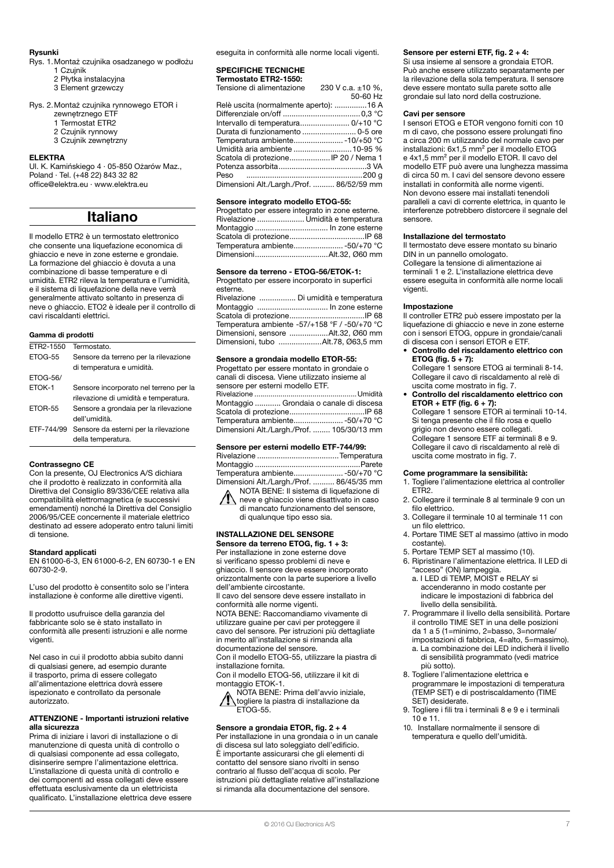#### Rysunki

- Rys. 1.Montaż czujnika osadzanego w podłożu 1 Czujnik
	- 2 Płytka instalacyjna
	- 3 Element grzewczy

### Rys. 2. Montaż czujnika rynnowego ETOR i

- zewnętrznego ETF
- 1 Termostat ETR2
- 2 Czujnik rynnowy 3 Czujnik zewnętrzny

#### ELEKTRA

Ul. K. Kamińskiego 4 · 05-850 Ożarów Maz., Poland · Tel. (+48 22) 843 32 82 office@elektra.eu · www.elektra.eu

## Italiano

Il modello ETR2 è un termostato elettronico che consente una liquefazione economica di ghiaccio e neve in zone esterne e grondaie. La formazione del ghiaccio è dovuta a una combinazione di basse temperature e di umidità. ETR2 rileva la temperatura e l'umidità, e il sistema di liquefazione della neve verrà generalmente attivato soltanto in presenza di neve o ghiaccio. ETO2 è ideale per il controllo di cavi riscaldanti elettrici.

#### Gamma di prodotti

| FTR2-1550       | Termostato.                            |
|-----------------|----------------------------------------|
| ETOG-55         | Sensore da terreno per la rilevazione  |
|                 | di temperatura e umidità.              |
| <b>ETOG-56/</b> |                                        |
| ETOK-1          | Sensore incorporato nel terreno per la |
|                 | rilevazione di umidità e temperatura.  |
| ETOR-55         | Sensore a grondaia per la rilevazione  |
|                 | dell'umidità.                          |
| FTF-744/99      | Sensore da esterni per la rilevazione  |
|                 | della temperatura.                     |

#### Contrassegno CE

Con la presente, OJ Electronics A/S dichiara che il prodotto è realizzato in conformità alla Direttiva del Consiglio 89/336/CEE relativa alla compatibilità elettromagnetica (e successivi emendamenti) nonché la Direttiva del Consiglio 2006/95/CEE concernente il materiale elettrico destinato ad essere adoperato entro taluni limiti di tensione.

#### Standard applicati

EN 61000-6-3, EN 61000-6-2, EN 60730-1 e EN 60730-2-9.

L'uso del prodotto è consentito solo se l'intera installazione è conforme alle direttive vigenti.

Il prodotto usufruisce della garanzia del fabbricante solo se è stato installato in conformità alle presenti istruzioni e alle norme vigenti.

Nel caso in cui il prodotto abbia subito danni di qualsiasi genere, ad esempio durante il trasporto, prima di essere collegato all'alimentazione elettrica dovrà essere ispezionato e controllato da personale autorizzato.

#### ATTENZIONE - Importanti istruzioni relative alla sicurezza

Prima di iniziare i lavori di installazione o di manutenzione di questa unità di controllo o di qualsiasi componente ad essa collegato, disinserire sempre l'alimentazione elettrica. L'installazione di questa unità di controllo e dei componenti ad essa collegati deve essere effettuata esclusivamente da un elettricista qualificato. L'installazione elettrica deve essere eseguita in conformità alle norme locali vigenti.

#### SPECIFICHE TECNICHE Termostato ETR2-1550:

| Tensione di alimentazione              | 230 V c.a. $\pm 10$ %. |
|----------------------------------------|------------------------|
|                                        | 50-60 Hz               |
| Relè uscita (normalmente aperto): 16 A |                        |

| Durata di funzionamento  0-5 ore          |  |
|-------------------------------------------|--|
| Temperatura ambiente - 10/+50 °C          |  |
| Umidità aria ambiente  10-95 %            |  |
| Scatola di protezioneIP 20 / Nema 1       |  |
|                                           |  |
|                                           |  |
| Dimensioni Alt./Largh./Prof.  86/52/59 mm |  |

#### Sensore integrato modello ETOG-55:

| Progettato per essere integrato in zone esterne. |  |
|--------------------------------------------------|--|
| Rivelazione  Umidità e temperatura               |  |
|                                                  |  |
|                                                  |  |
| Temperatura ambiente -50/+70 °C                  |  |
|                                                  |  |

#### Sensore da terreno - ETOG-56/ETOK-1:

Progettato per essere incorporato in superfici esterne. Rivelazione ................. Di umidità e temperatura Montaggio ................................. In zone esterne Scatola di protezione...................................IP 68

Temperatura ambiente -57/+158 °F / -50/+70 °C Dimensioni, sensore ..................Alt.32, Ø60 mm Dimensioni, tubo ....................Alt.78, Ø63,5 mm

### Sensore a grondaia modello ETOR-55:

Progettato per essere montato in grondaie o canali di discesa. Viene utilizzato insieme al sensore per esterni modello ETF. Rivelazione ...................................................Umidità Montaggio ............ Grondaia o canale di discesa Scatola di protezione...................................IP 68 Temperatura ambiente.......................-50/+70 °C Dimensioni Alt./Largh./Prof. ........ 105/30/13 mm

#### Sensore per esterni modello ETF-744/99:

| Temperatura ambiente -50/+70 °C           |  |
|-------------------------------------------|--|
| Dimensioni Alt./Largh./Prof.  86/45/35 mm |  |

| NOTA BENE: Il sistema di liquefazione di                                              |
|---------------------------------------------------------------------------------------|
| NOTA BENE: Il sistema di liquetazione di<br>neve e ghiaccio viene disattivato in caso |
| di mancato funzionamento del sensore.                                                 |

di qualunque tipo esso sia.

### INSTALLAZIONE DEL SENSORE

Sensore da terreno ETOG, fig. 1 + 3: Per installazione in zone esterne dove si verificano spesso problemi di neve e ghiaccio. Il sensore deve essere incorporato orizzontalmente con la parte superiore a livello dell'ambiente circostante. Il cavo del sensore deve essere installato in

conformità alle norme vigenti. NOTA BENE: Raccomandiamo vivamente di

utilizzare guaine per cavi per proteggere il cavo del sensore. Per istruzioni più dettagliate in merito all'installazione si rimanda alla documentazione del sensore.

Con il modello ETOG-55, utilizzare la piastra di installazione fornita.

Con il modello ETOG-56, utilizzare il kit di montaggio ETOK-1.

NOTA BENE: Prima dell'avvio iniziale, togliere la piastra di installazione da ETOG-55.

Sensore a grondaia ETOR, fig. 2 + 4 Per installazione in una grondaia o in un canale di discesa sul lato soleggiato dell'edificio. È importante assicurarsi che gli elementi di contatto del sensore siano rivolti in senso contrario al flusso dell'acqua di scolo. Per istruzioni più dettagliate relative all'installazione si rimanda alla documentazione del sensore.

### Sensore per esterni ETF, fig. 2 + 4:

Si usa insieme al sensore a grondaia ETOR. Può anche essere utilizzato separatamente per la rilevazione della sola temperatura. Il sensore deve essere montato sulla parete sotto alle grondaie sul lato nord della costruzione.

#### Cavi per sensore

I sensori ETOG e ETOR vengono forniti con 10 m di cavo, che possono essere prolungati fino a circa 200 m utilizzando del normale cavo per installazioni: 6x1,5 mm² per il modello ETOG e 4x1,5 mm² per il modello ETOR. Il cavo del modello ETF può avere una lunghezza massima di circa 50 m. I cavi del sensore devono essere installati in conformità alle norme vigenti. Non devono essere mai installati tenendoli paralleli a cavi di corrente elettrica, in quanto le interferenze potrebbero distorcere il segnale del sensore.

#### Installazione del termostato

Il termostato deve essere montato su binario DIN in un pannello omologato. Collegare la tensione di alimentazione ai terminali 1 e 2. L'installazione elettrica deve essere eseguita in conformità alle norme locali vigenti.

#### Impostazione

Il controller ETR2 può essere impostato per la liquefazione di ghiaccio e neve in zone esterne con i sensori ETOG, oppure in grondaie/canali di discesa con i sensori ETOR e ETF.

• Controllo del riscaldamento elettrico con **ETOG** (fig.  $5 + 7$ ):

Collegare 1 sensore ETOG ai terminali 8-14. Collegare il cavo di riscaldamento al relè di uscita come mostrato in fig. 7.

• Controllo del riscaldamento elettrico con ETOR + ETF (fig.  $6 + 7$ ):

Collegare 1 sensore ETOR ai terminali 10-14. Si tenga presente che il filo rosa e quello grigio non devono essere collegati. Collegare 1 sensore ETF ai terminali 8 e 9.

Collegare il cavo di riscaldamento al relè di uscita come mostrato in fig. 7.

#### Come programmare la sensibilità:

- 1. Togliere l'alimentazione elettrica al controller ETR2.
- 2. Collegare il terminale 8 al terminale 9 con un filo elettrico.
- 3. Collegare il terminale 10 al terminale 11 con un filo elettrico.
- 4. Portare TIME SET al massimo (attivo in modo costante).
- 5. Portare TEMP SET al massimo (10).
- 6. Ripristinare l'alimentazione elettrica. Il LED di "acceso" (ON) lampeggia.
- a. I LED di TEMP, MOIST e RELAY si accenderanno in modo costante per indicare le impostazioni di fabbrica del livello della sensibilità.
- 7. Programmare il livello della sensibilità. Portare il controllo TIME SET in una delle posizioni da 1 a 5 (1=minimo, 2=basso, 3=normale/ impostazioni di fabbrica, 4=alto, 5=massimo).
	- a. La combinazione dei LED indicherà il livello di sensibilità programmato (vedi matrice più sotto).
- 8. Togliere l'alimentazione elettrica e programmare le impostazioni di temperatura (TEMP SET) e di postriscaldamento (TIME SET) desiderate.
- 9. Togliere i fili tra i terminali 8 e 9 e i terminali 10 e 11.
- 10. Installare normalmente il sensore di temperatura e quello dell'umidità.